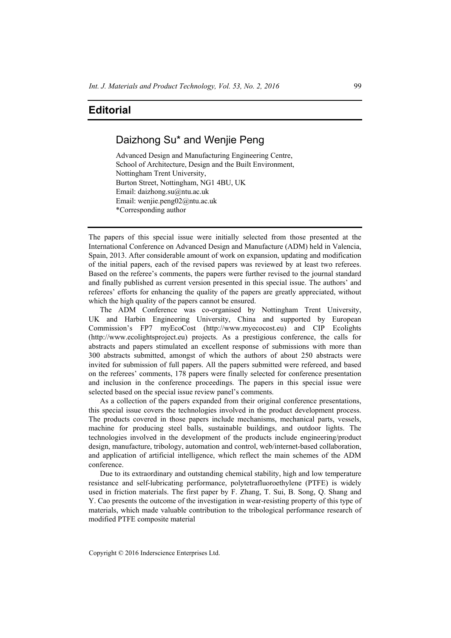## **Editorial**

## Daizhong Su\* and Wenjie Peng

Advanced Design and Manufacturing Engineering Centre, School of Architecture, Design and the Built Environment, Nottingham Trent University, Burton Street, Nottingham, NG1 4BU, UK Email: daizhong.su@ntu.ac.uk Email: wenjie.peng02@ntu.ac.uk \*Corresponding author

The papers of this special issue were initially selected from those presented at the International Conference on Advanced Design and Manufacture (ADM) held in Valencia, Spain, 2013. After considerable amount of work on expansion, updating and modification of the initial papers, each of the revised papers was reviewed by at least two referees. Based on the referee's comments, the papers were further revised to the journal standard and finally published as current version presented in this special issue. The authors' and referees' efforts for enhancing the quality of the papers are greatly appreciated, without which the high quality of the papers cannot be ensured.

The ADM Conference was co-organised by Nottingham Trent University, UK and Harbin Engineering University, China and supported by European Commission's FP7 myEcoCost (http://www.myecocost.eu) and CIP Ecolights (http://www.ecolightsproject.eu) projects. As a prestigious conference, the calls for abstracts and papers stimulated an excellent response of submissions with more than 300 abstracts submitted, amongst of which the authors of about 250 abstracts were invited for submission of full papers. All the papers submitted were refereed, and based on the referees' comments, 178 papers were finally selected for conference presentation and inclusion in the conference proceedings. The papers in this special issue were selected based on the special issue review panel's comments.

As a collection of the papers expanded from their original conference presentations, this special issue covers the technologies involved in the product development process. The products covered in those papers include mechanisms, mechanical parts, vessels, machine for producing steel balls, sustainable buildings, and outdoor lights. The technologies involved in the development of the products include engineering/product design, manufacture, tribology, automation and control, web/internet-based collaboration, and application of artificial intelligence, which reflect the main schemes of the ADM conference.

Due to its extraordinary and outstanding chemical stability, high and low temperature resistance and self-lubricating performance, polytetrafluoroethylene (PTFE) is widely used in friction materials. The first paper by F. Zhang, T. Sui, B. Song, Q. Shang and Y. Cao presents the outcome of the investigation in wear-resisting property of this type of materials, which made valuable contribution to the tribological performance research of modified PTFE composite material